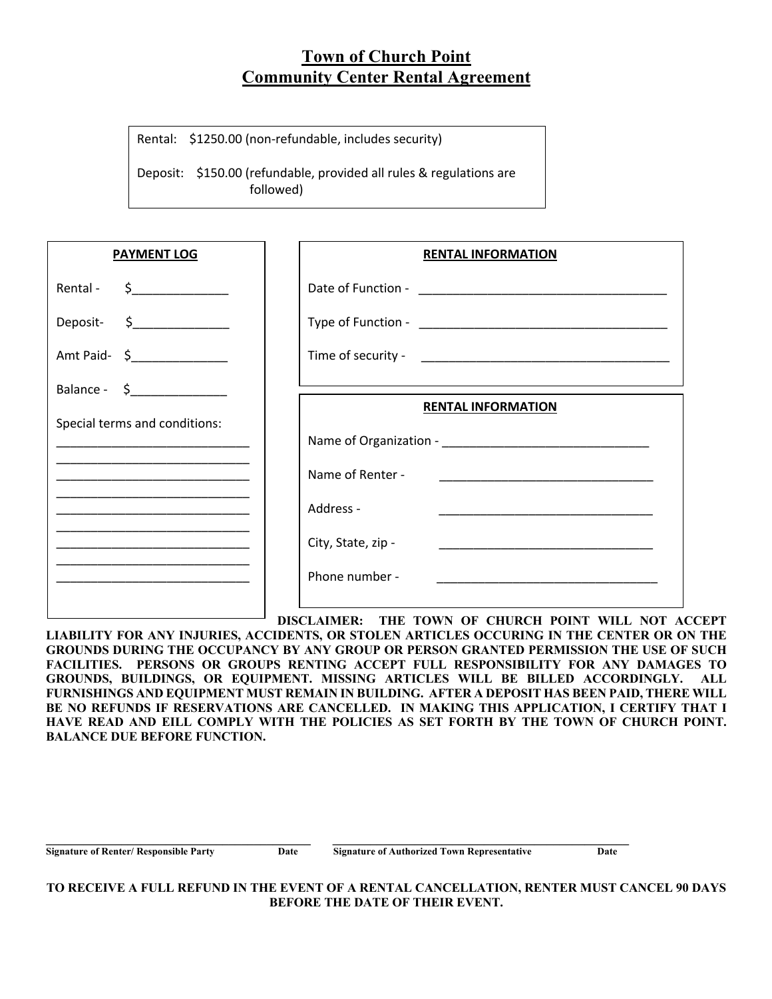## **Town of Church Point Community Center Rental Agreement**

Rental: \$1250.00 (non-refundable, includes security)

Deposit: \$150.00 (refundable, provided all rules & regulations are followed)

| <b>PAYMENT LOG</b>                                                                                                                                                                                                                                                                                     | <b>RENTAL INFORMATION</b>                                                                                                                   |
|--------------------------------------------------------------------------------------------------------------------------------------------------------------------------------------------------------------------------------------------------------------------------------------------------------|---------------------------------------------------------------------------------------------------------------------------------------------|
| Rental - $\frac{2}{2}$ - $\frac{2}{2}$ - $\frac{2}{2}$ - $\frac{2}{2}$ - $\frac{2}{2}$ - $\frac{2}{2}$ - $\frac{2}{2}$ - $\frac{2}{2}$ - $\frac{2}{2}$ - $\frac{2}{2}$ - $\frac{2}{2}$ - $\frac{2}{2}$ - $\frac{2}{2}$ - $\frac{2}{2}$ - $\frac{2}{2}$ - $\frac{2}{2}$ - $\frac{2}{2}$ - $\frac{2}{2}$ |                                                                                                                                             |
| Deposit- \$_______________                                                                                                                                                                                                                                                                             |                                                                                                                                             |
| Amt Paid- \$                                                                                                                                                                                                                                                                                           |                                                                                                                                             |
| Balance - $\zeta$ ____________                                                                                                                                                                                                                                                                         | <b>RENTAL INFORMATION</b>                                                                                                                   |
| Special terms and conditions:                                                                                                                                                                                                                                                                          |                                                                                                                                             |
| <u> 1989 - Johann John Stone, markin amerikan bisa di sebagai pertama dan pertama di sebagai pertama di sebagai p</u>                                                                                                                                                                                  | Name of Renter -                                                                                                                            |
|                                                                                                                                                                                                                                                                                                        | Address -                                                                                                                                   |
|                                                                                                                                                                                                                                                                                                        | City, State, zip -<br><u> 1989 - Johann John Stone, markin amerikan bisa di sebagai kecamatan dan bisa di sebagai kecamatan dan bisa di</u> |
|                                                                                                                                                                                                                                                                                                        | Phone number -                                                                                                                              |
|                                                                                                                                                                                                                                                                                                        |                                                                                                                                             |

**DISCLAIMER: THE TOWN OF CHURCH POINT WILL NOT ACCEPT LIABILITY FOR ANY INJURIES, ACCIDENTS, OR STOLEN ARTICLES OCCURING IN THE CENTER OR ON THE GROUNDS DURING THE OCCUPANCY BY ANY GROUP OR PERSON GRANTED PERMISSION THE USE OF SUCH FACILITIES. PERSONS OR GROUPS RENTING ACCEPT FULL RESPONSIBILITY FOR ANY DAMAGES TO GROUNDS, BUILDINGS, OR EQUIPMENT. MISSING ARTICLES WILL BE BILLED ACCORDINGLY. ALL FURNISHINGS AND EQUIPMENT MUST REMAIN IN BUILDING. AFTER A DEPOSIT HAS BEEN PAID, THERE WILL**  BE NO REFUNDS IF RESERVATIONS ARE CANCELLED. IN MAKING THIS APPLICATION, I CERTIFY THAT I **HAVE READ AND EILL COMPLY WITH THE POLICIES AS SET FORTH BY THE TOWN OF CHURCH POINT. BALANCE DUE BEFORE FUNCTION.**

| <b>Signature of Renter/ Responsible Party</b> | Date | Signature of Authorized Town Representative | Date |
|-----------------------------------------------|------|---------------------------------------------|------|

**TO RECEIVE A FULL REFUND IN THE EVENT OF A RENTAL CANCELLATION, RENTER MUST CANCEL 90 DAYS BEFORE THE DATE OF THEIR EVENT.**